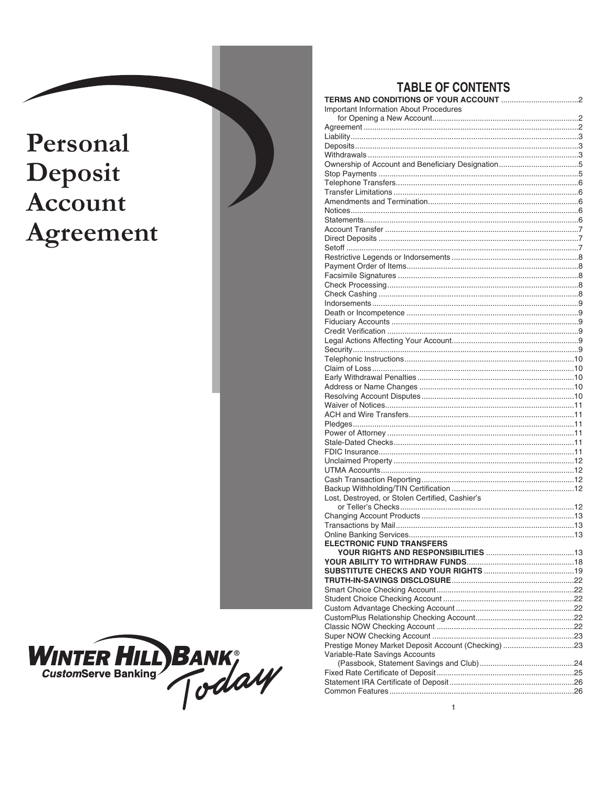# Personal Deposit Account Agreement



# **TABLE OF CONTENTS**

| <b>Important Information About Procedures</b>       |  |
|-----------------------------------------------------|--|
|                                                     |  |
|                                                     |  |
|                                                     |  |
|                                                     |  |
|                                                     |  |
|                                                     |  |
|                                                     |  |
|                                                     |  |
|                                                     |  |
|                                                     |  |
|                                                     |  |
|                                                     |  |
|                                                     |  |
|                                                     |  |
|                                                     |  |
|                                                     |  |
|                                                     |  |
|                                                     |  |
|                                                     |  |
|                                                     |  |
|                                                     |  |
|                                                     |  |
|                                                     |  |
|                                                     |  |
|                                                     |  |
|                                                     |  |
|                                                     |  |
|                                                     |  |
|                                                     |  |
|                                                     |  |
|                                                     |  |
|                                                     |  |
|                                                     |  |
|                                                     |  |
|                                                     |  |
|                                                     |  |
|                                                     |  |
|                                                     |  |
| Lost, Destroyed, or Stolen Certified, Cashier's     |  |
|                                                     |  |
|                                                     |  |
|                                                     |  |
|                                                     |  |
| <b>ELECTRONIC FUND TRANSFERS</b>                    |  |
|                                                     |  |
|                                                     |  |
|                                                     |  |
|                                                     |  |
|                                                     |  |
|                                                     |  |
|                                                     |  |
|                                                     |  |
|                                                     |  |
| Prestige Money Market Deposit Account (Checking) 23 |  |
| Variable-Rate Savings Accounts                      |  |
|                                                     |  |
|                                                     |  |
|                                                     |  |
|                                                     |  |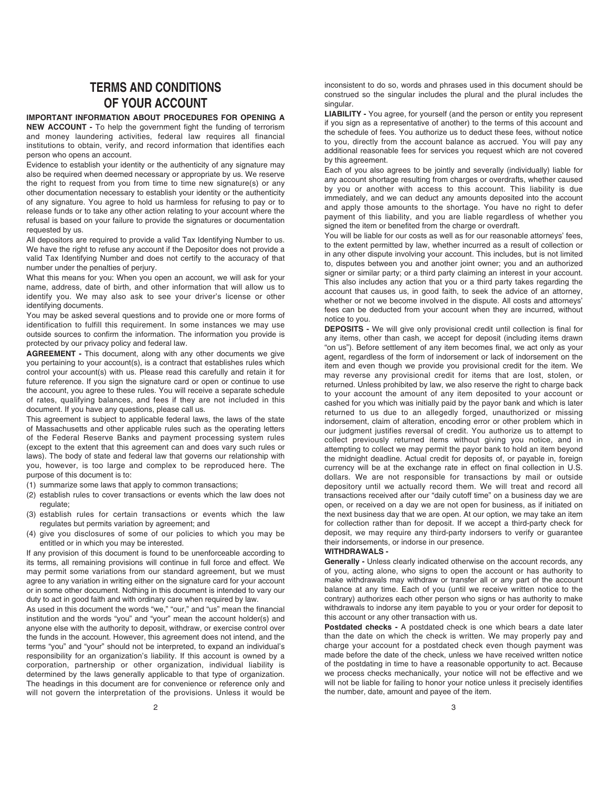# **TERMS AND CONDITIONS OF YOUR ACCOUNT**

#### **IMPORTANT INFORMATION ABOUT PROCEDURES FOR OPENING A**

**NEW ACCOUNT -** To help the government fight the funding of terrorism and money laundering activities, federal law requires all financial institutions to obtain, verify, and record information that identifies each person who opens an account.

Evidence to establish your identity or the authenticity of any signature may also be required when deemed necessary or appropriate by us. We reserve the right to request from you from time to time new signature(s) or any other documentation necessary to establish your identity or the authenticity of any signature. You agree to hold us harmless for refusing to pay or to release funds or to take any other action relating to your account where the refusal is based on your failure to provide the signatures or documentation requested by us.

All depositors are required to provide a valid Tax Identifying Number to us. We have the right to refuse any account if the Depositor does not provide a valid Tax Identifying Number and does not certify to the accuracy of that number under the penalties of perjury.

What this means for you: When you open an account, we will ask for your name, address, date of birth, and other information that will allow us to identify you. We may also ask to see your driver's license or other identifying documents.

You may be asked several questions and to provide one or more forms of identification to fulfill this requirement. In some instances we may use outside sources to confirm the information. The information you provide is protected by our privacy policy and federal law.

**AGREEMENT -** This document, along with any other documents we give you pertaining to your account(s), is a contract that establishes rules which control your account(s) with us. Please read this carefully and retain it for future reference. If you sign the signature card or open or continue to use the account, you agree to these rules. You will receive a separate schedule of rates, qualifying balances, and fees if they are not included in this document. If you have any questions, please call us.

This agreement is subject to applicable federal laws, the laws of the state of Massachusetts and other applicable rules such as the operating letters of the Federal Reserve Banks and payment processing system rules (except to the extent that this agreement can and does vary such rules or laws). The body of state and federal law that governs our relationship with you, however, is too large and complex to be reproduced here. The purpose of this document is to:

(1) summarize some laws that apply to common transactions;

- (2) establish rules to cover transactions or events which the law does not regulate;
- (3) establish rules for certain transactions or events which the law regulates but permits variation by agreement; and
- (4) give you disclosures of some of our policies to which you may be entitled or in which you may be interested.

If any provision of this document is found to be unenforceable according to its terms, all remaining provisions will continue in full force and effect. We may permit some variations from our standard agreement, but we must agree to any variation in writing either on the signature card for your account or in some other document. Nothing in this document is intended to vary our duty to act in good faith and with ordinary care when required by law.

As used in this document the words "we," "our," and "us" mean the financial institution and the words "you" and "your" mean the account holder(s) and anyone else with the authority to deposit, withdraw, or exercise control over the funds in the account. However, this agreement does not intend, and the terms "you" and "your" should not be interpreted, to expand an individual's responsibility for an organization's liability. If this account is owned by a corporation, partnership or other organization, individual liability is determined by the laws generally applicable to that type of organization. The headings in this document are for convenience or reference only and will not govern the interpretation of the provisions. Unless it would be

inconsistent to do so, words and phrases used in this document should be construed so the singular includes the plural and the plural includes the singular.

**LIABILITY -** You agree, for yourself (and the person or entity you represent if you sign as a representative of another) to the terms of this account and the schedule of fees. You authorize us to deduct these fees, without notice to you, directly from the account balance as accrued. You will pay any additional reasonable fees for services you request which are not covered by this agreement.

Each of you also agrees to be jointly and severally (individually) liable for any account shortage resulting from charges or overdrafts, whether caused by you or another with access to this account. This liability is due immediately, and we can deduct any amounts deposited into the account and apply those amounts to the shortage. You have no right to defer payment of this liability, and you are liable regardless of whether you signed the item or benefited from the charge or overdraft.

You will be liable for our costs as well as for our reasonable attorneys' fees, to the extent permitted by law, whether incurred as a result of collection or in any other dispute involving your account. This includes, but is not limited to, disputes between you and another joint owner; you and an authorized signer or similar party; or a third party claiming an interest in your account. This also includes any action that you or a third party takes regarding the account that causes us, in good faith, to seek the advice of an attorney, whether or not we become involved in the dispute. All costs and attorneys' fees can be deducted from your account when they are incurred, without notice to you.

**DEPOSITS -** We will give only provisional credit until collection is final for any items, other than cash, we accept for deposit (including items drawn "on us"). Before settlement of any item becomes final, we act only as your agent, regardless of the form of indorsement or lack of indorsement on the item and even though we provide you provisional credit for the item. We may reverse any provisional credit for items that are lost, stolen, or returned. Unless prohibited by law, we also reserve the right to charge back to your account the amount of any item deposited to your account or cashed for you which was initially paid by the payor bank and which is later returned to us due to an allegedly forged, unauthorized or missing indorsement, claim of alteration, encoding error or other problem which in our judgment justifies reversal of credit. You authorize us to attempt to collect previously returned items without giving you notice, and in attempting to collect we may permit the payor bank to hold an item beyond the midnight deadline. Actual credit for deposits of, or payable in, foreign currency will be at the exchange rate in effect on final collection in U.S. dollars. We are not responsible for transactions by mail or outside depository until we actually record them. We will treat and record all transactions received after our "daily cutoff time" on a business day we are open, or received on a day we are not open for business, as if initiated on the next business day that we are open. At our option, we may take an item for collection rather than for deposit. If we accept a third-party check for deposit, we may require any third-party indorsers to verify or guarantee their indorsements, or indorse in our presence.

#### **WITHDRAWALS -**

**Generally -** Unless clearly indicated otherwise on the account records, any of you, acting alone, who signs to open the account or has authority to make withdrawals may withdraw or transfer all or any part of the account balance at any time. Each of you (until we receive written notice to the contrary) authorizes each other person who signs or has authority to make withdrawals to indorse any item payable to you or your order for deposit to this account or any other transaction with us.

**Postdated checks -** A postdated check is one which bears a date later than the date on which the check is written. We may properly pay and charge your account for a postdated check even though payment was made before the date of the check, unless we have received written notice of the postdating in time to have a reasonable opportunity to act. Because we process checks mechanically, your notice will not be effective and we will not be liable for failing to honor your notice unless it precisely identifies the number, date, amount and payee of the item.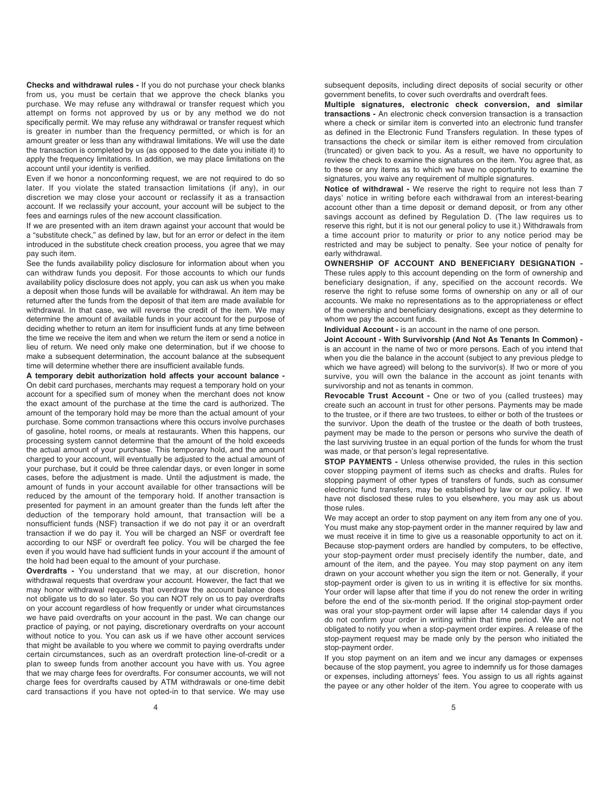**Checks and withdrawal rules -** If you do not purchase your check blanks from us, you must be certain that we approve the check blanks you purchase. We may refuse any withdrawal or transfer request which you attempt on forms not approved by us or by any method we do not specifically permit. We may refuse any withdrawal or transfer request which is greater in number than the frequency permitted, or which is for an amount greater or less than any withdrawal limitations. We will use the date the transaction is completed by us (as opposed to the date you initiate it) to apply the frequency limitations. In addition, we may place limitations on the account until your identity is verified.

Even if we honor a nonconforming request, we are not required to do so later. If you violate the stated transaction limitations (if any), in our discretion we may close your account or reclassify it as a transaction account. If we reclassify your account, your account will be subject to the fees and earnings rules of the new account classification.

If we are presented with an item drawn against your account that would be a "substitute check," as defined by law, but for an error or defect in the item introduced in the substitute check creation process, you agree that we may pay such item.

See the funds availability policy disclosure for information about when you can withdraw funds you deposit. For those accounts to which our funds availability policy disclosure does not apply, you can ask us when you make a deposit when those funds will be available for withdrawal. An item may be returned after the funds from the deposit of that item are made available for withdrawal. In that case, we will reverse the credit of the item. We may determine the amount of available funds in your account for the purpose of deciding whether to return an item for insufficient funds at any time between the time we receive the item and when we return the item or send a notice in lieu of return. We need only make one determination, but if we choose to make a subsequent determination, the account balance at the subsequent time will determine whether there are insufficient available funds.

**A temporary debit authorization hold affects your account balance -** On debit card purchases, merchants may request a temporary hold on your account for a specified sum of money when the merchant does not know the exact amount of the purchase at the time the card is authorized. The amount of the temporary hold may be more than the actual amount of your purchase. Some common transactions where this occurs involve purchases of gasoline, hotel rooms, or meals at restaurants. When this happens, our processing system cannot determine that the amount of the hold exceeds the actual amount of your purchase. This temporary hold, and the amount charged to your account, will eventually be adjusted to the actual amount of your purchase, but it could be three calendar days, or even longer in some cases, before the adjustment is made. Until the adjustment is made, the amount of funds in your account available for other transactions will be reduced by the amount of the temporary hold. If another transaction is presented for payment in an amount greater than the funds left after the deduction of the temporary hold amount, that transaction will be a nonsufficient funds (NSF) transaction if we do not pay it or an overdraft transaction if we do pay it. You will be charged an NSF or overdraft fee according to our NSF or overdraft fee policy. You will be charged the fee even if you would have had sufficient funds in your account if the amount of the hold had been equal to the amount of your purchase.

**Overdrafts -** You understand that we may, at our discretion, honor withdrawal requests that overdraw your account. However, the fact that we may honor withdrawal requests that overdraw the account balance does not obligate us to do so later. So you can NOT rely on us to pay overdrafts on your account regardless of how frequently or under what circumstances we have paid overdrafts on your account in the past. We can change our practice of paying, or not paying, discretionary overdrafts on your account without notice to you. You can ask us if we have other account services that might be available to you where we commit to paying overdrafts under certain circumstances, such as an overdraft protection line-of-credit or a plan to sweep funds from another account you have with us. You agree that we may charge fees for overdrafts. For consumer accounts, we will not charge fees for overdrafts caused by ATM withdrawals or one-time debit card transactions if you have not opted-in to that service. We may use subsequent deposits, including direct deposits of social security or other government benefits, to cover such overdrafts and overdraft fees.

**Multiple signatures, electronic check conversion, and similar transactions -** An electronic check conversion transaction is a transaction where a check or similar item is converted into an electronic fund transfer as defined in the Electronic Fund Transfers regulation. In these types of transactions the check or similar item is either removed from circulation (truncated) or given back to you. As a result, we have no opportunity to review the check to examine the signatures on the item. You agree that, as to these or any items as to which we have no opportunity to examine the signatures, you waive any requirement of multiple signatures.

**Notice of withdrawal -** We reserve the right to require not less than 7 days' notice in writing before each withdrawal from an interest-bearing account other than a time deposit or demand deposit, or from any other savings account as defined by Regulation D. (The law requires us to reserve this right, but it is not our general policy to use it.) Withdrawals from a time account prior to maturity or prior to any notice period may be restricted and may be subject to penalty. See your notice of penalty for early withdrawal.

**OWNERSHIP OF ACCOUNT AND BENEFICIARY DESIGNATION -** These rules apply to this account depending on the form of ownership and beneficiary designation, if any, specified on the account records. We reserve the right to refuse some forms of ownership on any or all of our accounts. We make no representations as to the appropriateness or effect of the ownership and beneficiary designations, except as they determine to whom we pay the account funds.

**Individual Account -** is an account in the name of one person.

**Joint Account - With Survivorship (And Not As Tenants In Common)**  is an account in the name of two or more persons. Each of you intend that when you die the balance in the account (subject to any previous pledge to which we have agreed) will belong to the survivor(s). If two or more of you survive, you will own the balance in the account as joint tenants with survivorship and not as tenants in common.

**Revocable Trust Account -** One or two of you (called trustees) may create such an account in trust for other persons. Payments may be made to the trustee, or if there are two trustees, to either or both of the trustees or the survivor. Upon the death of the trustee or the death of both trustees, payment may be made to the person or persons who survive the death of the last surviving trustee in an equal portion of the funds for whom the trust was made, or that person's legal representative.

**STOP PAYMENTS -** Unless otherwise provided, the rules in this section cover stopping payment of items such as checks and drafts. Rules for stopping payment of other types of transfers of funds, such as consumer electronic fund transfers, may be established by law or our policy. If we have not disclosed these rules to you elsewhere, you may ask us about those rules.

We may accept an order to stop payment on any item from any one of you. You must make any stop-payment order in the manner required by law and we must receive it in time to give us a reasonable opportunity to act on it. Because stop-payment orders are handled by computers, to be effective, your stop-payment order must precisely identify the number, date, and amount of the item, and the payee. You may stop payment on any item drawn on your account whether you sign the item or not. Generally, if your stop-payment order is given to us in writing it is effective for six months. Your order will lapse after that time if you do not renew the order in writing before the end of the six-month period. If the original stop-payment order was oral your stop-payment order will lapse after 14 calendar days if you do not confirm your order in writing within that time period. We are not obligated to notify you when a stop-payment order expires. A release of the stop-payment request may be made only by the person who initiated the stop-payment order.

If you stop payment on an item and we incur any damages or expenses because of the stop payment, you agree to indemnify us for those damages or expenses, including attorneys' fees. You assign to us all rights against the payee or any other holder of the item. You agree to cooperate with us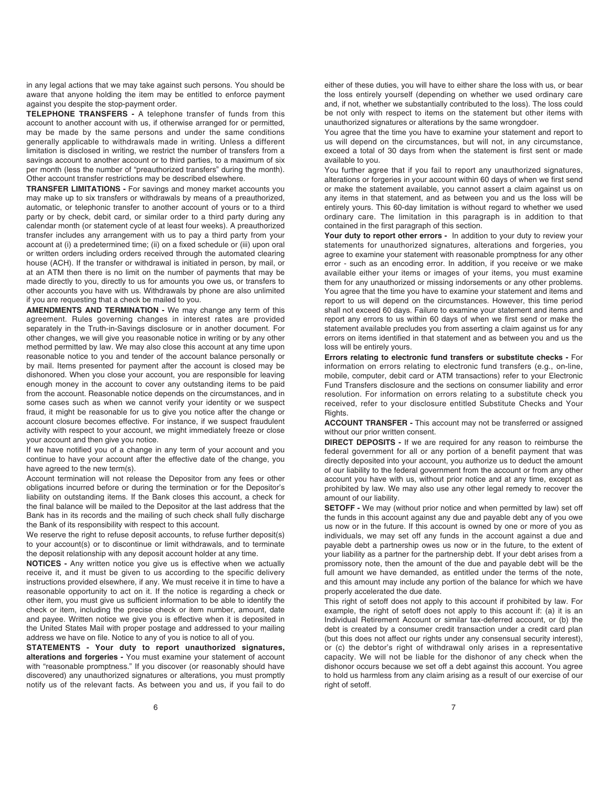in any legal actions that we may take against such persons. You should be aware that anyone holding the item may be entitled to enforce payment against you despite the stop-payment order.

**TELEPHONE TRANSFERS -** A telephone transfer of funds from this account to another account with us, if otherwise arranged for or permitted, may be made by the same persons and under the same conditions generally applicable to withdrawals made in writing. Unless a different limitation is disclosed in writing, we restrict the number of transfers from a savings account to another account or to third parties, to a maximum of six per month (less the number of "preauthorized transfers" during the month). Other account transfer restrictions may be described elsewhere.

**TRANSFER LIMITATIONS -** For savings and money market accounts you may make up to six transfers or withdrawals by means of a preauthorized, automatic, or telephonic transfer to another account of yours or to a third party or by check, debit card, or similar order to a third party during any calendar month (or statement cycle of at least four weeks). A preauthorized transfer includes any arrangement with us to pay a third party from your account at (i) a predetermined time; (ii) on a fixed schedule or (iii) upon oral or written orders including orders received through the automated clearing house (ACH). If the transfer or withdrawal is initiated in person, by mail, or at an ATM then there is no limit on the number of payments that may be made directly to you, directly to us for amounts you owe us, or transfers to other accounts you have with us. Withdrawals by phone are also unlimited if you are requesting that a check be mailed to you.

**AMENDMENTS AND TERMINATION -** We may change any term of this agreement. Rules governing changes in interest rates are provided separately in the Truth-in-Savings disclosure or in another document. For other changes, we will give you reasonable notice in writing or by any other method permitted by law. We may also close this account at any time upon reasonable notice to you and tender of the account balance personally or by mail. Items presented for payment after the account is closed may be dishonored. When you close your account, you are responsible for leaving enough money in the account to cover any outstanding items to be paid from the account. Reasonable notice depends on the circumstances, and in some cases such as when we cannot verify your identity or we suspect fraud, it might be reasonable for us to give you notice after the change or account closure becomes effective. For instance, if we suspect fraudulent activity with respect to your account, we might immediately freeze or close your account and then give you notice.

If we have notified you of a change in any term of your account and you continue to have your account after the effective date of the change, you have agreed to the new term(s).

Account termination will not release the Depositor from any fees or other obligations incurred before or during the termination or for the Depositor's liability on outstanding items. If the Bank closes this account, a check for the final balance will be mailed to the Depositor at the last address that the Bank has in its records and the mailing of such check shall fully discharge the Bank of its responsibility with respect to this account.

We reserve the right to refuse deposit accounts, to refuse further deposit(s) to your account(s) or to discontinue or limit withdrawals, and to terminate the deposit relationship with any deposit account holder at any time.

**NOTICES -** Any written notice you give us is effective when we actually receive it, and it must be given to us according to the specific delivery instructions provided elsewhere, if any. We must receive it in time to have a reasonable opportunity to act on it. If the notice is regarding a check or other item, you must give us sufficient information to be able to identify the check or item, including the precise check or item number, amount, date and payee. Written notice we give you is effective when it is deposited in the United States Mail with proper postage and addressed to your mailing address we have on file. Notice to any of you is notice to all of you.

**STATEMENTS - Your duty to report unauthorized signatures, alterations and forgeries -** You must examine your statement of account with "reasonable promptness." If you discover (or reasonably should have discovered) any unauthorized signatures or alterations, you must promptly notify us of the relevant facts. As between you and us, if you fail to do

either of these duties, you will have to either share the loss with us, or bear the loss entirely yourself (depending on whether we used ordinary care and, if not, whether we substantially contributed to the loss). The loss could be not only with respect to items on the statement but other items with unauthorized signatures or alterations by the same wrongdoer.

You agree that the time you have to examine your statement and report to us will depend on the circumstances, but will not, in any circumstance, exceed a total of 30 days from when the statement is first sent or made available to you.

You further agree that if you fail to report any unauthorized signatures, alterations or forgeries in your account within 60 days of when we first send or make the statement available, you cannot assert a claim against us on any items in that statement, and as between you and us the loss will be entirely yours. This 60-day limitation is without regard to whether we used ordinary care. The limitation in this paragraph is in addition to that contained in the first paragraph of this section.

Your duty to report other errors - In addition to your duty to review your statements for unauthorized signatures, alterations and forgeries, you agree to examine your statement with reasonable promptness for any other error - such as an encoding error. In addition, if you receive or we make available either your items or images of your items, you must examine them for any unauthorized or missing indorsements or any other problems. You agree that the time you have to examine your statement and items and report to us will depend on the circumstances. However, this time period shall not exceed 60 days. Failure to examine your statement and items and report any errors to us within 60 days of when we first send or make the statement available precludes you from asserting a claim against us for any errors on items identified in that statement and as between you and us the loss will be entirely yours.

**Errors relating to electronic fund transfers or substitute checks -** For information on errors relating to electronic fund transfers (e.g., on-line, mobile, computer, debit card or ATM transactions) refer to your Electronic Fund Transfers disclosure and the sections on consumer liability and error resolution. For information on errors relating to a substitute check you received, refer to your disclosure entitled Substitute Checks and Your Rights.

**ACCOUNT TRANSFER -** This account may not be transferred or assigned without our prior written consent.

**DIRECT DEPOSITS -** If we are required for any reason to reimburse the federal government for all or any portion of a benefit payment that was directly deposited into your account, you authorize us to deduct the amount of our liability to the federal government from the account or from any other account you have with us, without prior notice and at any time, except as prohibited by law. We may also use any other legal remedy to recover the amount of our liability.

**SETOFF -** We may (without prior notice and when permitted by law) set off the funds in this account against any due and payable debt any of you owe us now or in the future. If this account is owned by one or more of you as individuals, we may set off any funds in the account against a due and payable debt a partnership owes us now or in the future, to the extent of your liability as a partner for the partnership debt. If your debt arises from a promissory note, then the amount of the due and payable debt will be the full amount we have demanded, as entitled under the terms of the note, and this amount may include any portion of the balance for which we have properly accelerated the due date.

This right of setoff does not apply to this account if prohibited by law. For example, the right of setoff does not apply to this account if: (a) it is an Individual Retirement Account or similar tax-deferred account, or (b) the debt is created by a consumer credit transaction under a credit card plan (but this does not affect our rights under any consensual security interest), or (c) the debtor's right of withdrawal only arises in a representative capacity. We will not be liable for the dishonor of any check when the dishonor occurs because we set off a debt against this account. You agree to hold us harmless from any claim arising as a result of our exercise of our right of setoff.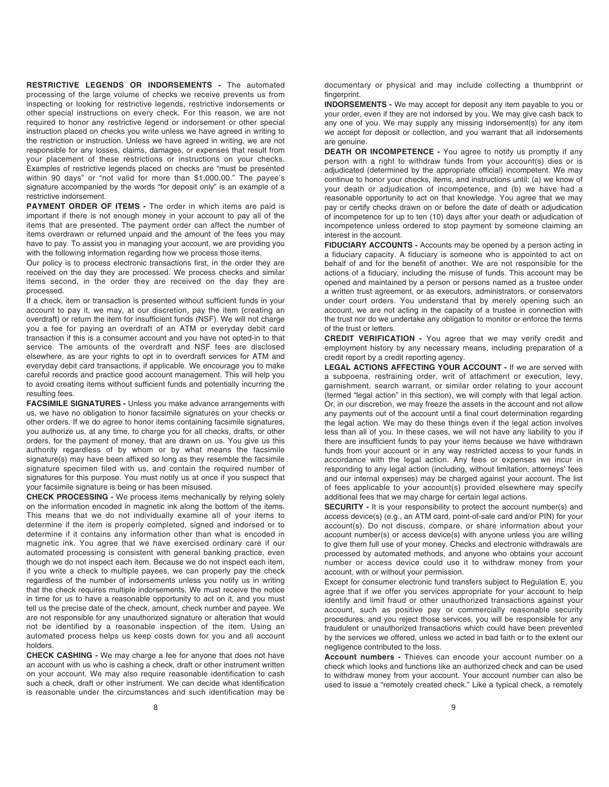**RESTRICTIVE LEGENDS OR INDORSEMENTS -** The automated processing of the large volume of checks we receive prevents us from inspecting or looking for restrictive legends, restrictive indorsements or other special instructions on every check. For this reason, we are not required to honor any restrictive legend or indorsement or other special instruction placed on checks you write unless we have agreed in writing to the restriction or instruction. Unless we have agreed in writing, we are not responsible for any losses, claims, damages, or expenses that result from your placement of these restrictions or instructions on your checks. Examples of restrictive legends placed on checks are "must be presented within 90 days" or "not valid for more than \$1,000.00." The payee's signature accompanied by the words "for deposit only" is an example of a restrictive indorsement.

**PAYMENT ORDER OF ITEMS -** The order in which items are paid is important if there is not enough money in your account to pay all of the items that are presented. The payment order can affect the number of items overdrawn or returned unpaid and the amount of the fees you may have to pay. To assist you in managing your account, we are providing you with the following information regarding how we process those items.

Our policy is to process electronic transactions first, in the order they are received on the day they are processed. We process checks and similar items second, in the order they are received on the day they are processed.

If a check, item or transaction is presented without sufficient funds in your account to pay it, we may, at our discretion, pay the item (creating an overdraft) or return the item for insufficient funds (NSF). We will not charge you a fee for paying an overdraft of an ATM or everyday debit card transaction if this is a consumer account and you have not opted-in to that service. The amounts of the overdraft and NSF fees are disclosed elsewhere, as are your rights to opt in to overdraft services for ATM and everyday debit card transactions, if applicable. We encourage you to make careful records and practice good account management. This will help you to avoid creating items without sufficient funds and potentially incurring the resulting fees.

**FACSIMILE SIGNATURES -** Unless you make advance arrangements with us, we have no obligation to honor facsimile signatures on your checks or other orders. If we do agree to honor items containing facsimile signatures, you authorize us, at any time, to charge you for all checks, drafts, or other orders, for the payment of money, that are drawn on us. You give us this authority regardless of by whom or by what means the facsimile signature(s) may have been affixed so long as they resemble the facsimile signature specimen filed with us, and contain the required number of signatures for this purpose. You must notify us at once if you suspect that your facsimile signature is being or has been misused.

**CHECK PROCESSING -** We process items mechanically by relying solely on the information encoded in magnetic ink along the bottom of the items. This means that we do not individually examine all of your items to determine if the item is properly completed, signed and indorsed or to determine if it contains any information other than what is encoded in magnetic ink. You agree that we have exercised ordinary care if our automated processing is consistent with general banking practice, even though we do not inspect each item. Because we do not inspect each item, if you write a check to multiple payees, we can properly pay the check regardless of the number of indorsements unless you notify us in writing that the check requires multiple indorsements. We must receive the notice in time for us to have a reasonable opportunity to act on it, and you must tell us the precise date of the check, amount, check number and payee. We are not responsible for any unauthorized signature or alteration that would not be identified by a reasonable inspection of the item. Using an automated process helps us keep costs down for you and all account holders.

**CHECK CASHING -** We may charge a fee for anyone that does not have an account with us who is cashing a check, draft or other instrument written on your account. We may also require reasonable identification to cash such a check, draft or other instrument. We can decide what identification is reasonable under the circumstances and such identification may be documentary or physical and may include collecting a thumbprint or fingerprint.

**INDORSEMENTS -** We may accept for deposit any item payable to you or your order, even if they are not indorsed by you. We may give cash back to any one of you. We may supply any missing indorsement(s) for any item we accept for deposit or collection, and you warrant that all indorsements are genuine.

**DEATH OR INCOMPETENCE -** You agree to notify us promptly if any person with a right to withdraw funds from your account(s) dies or is adjudicated (determined by the appropriate official) incompetent. We may continue to honor your checks, items, and instructions until: (a) we know of your death or adjudication of incompetence, and (b) we have had a reasonable opportunity to act on that knowledge. You agree that we may pay or certify checks drawn on or before the date of death or adjudication of incompetence for up to ten (10) days after your death or adjudication of incompetence unless ordered to stop payment by someone claiming an interest in the account.

**FIDUCIARY ACCOUNTS -** Accounts may be opened by a person acting in a fiduciary capacity. A fiduciary is someone who is appointed to act on behalf of and for the benefit of another. We are not responsible for the actions of a fiduciary, including the misuse of funds. This account may be opened and maintained by a person or persons named as a trustee under a written trust agreement, or as executors, administrators, or conservators under court orders. You understand that by merely opening such an account, we are not acting in the capacity of a trustee in connection with the trust nor do we undertake any obligation to monitor or enforce the terms of the trust or letters.

**CREDIT VERIFICATION -** You agree that we may verify credit and employment history by any necessary means, including preparation of a credit report by a credit reporting agency.

**LEGAL ACTIONS AFFECTING YOUR ACCOUNT -** If we are served with a subpoena, restraining order, writ of attachment or execution, levy, garnishment, search warrant, or similar order relating to your account (termed "legal action" in this section), we will comply with that legal action. Or, in our discretion, we may freeze the assets in the account and not allow any payments out of the account until a final court determination regarding the legal action. We may do these things even if the legal action involves less than all of you. In these cases, we will not have any liability to you if there are insufficient funds to pay your items because we have withdrawn funds from your account or in any way restricted access to your funds in accordance with the legal action. Any fees or expenses we incur in responding to any legal action (including, without limitation, attorneys' fees and our internal expenses) may be charged against your account. The list of fees applicable to your account(s) provided elsewhere may specify additional fees that we may charge for certain legal actions.

**SECURITY** - It is your responsibility to protect the account number(s) and access device(s) (e.g., an ATM card, point-of-sale card and/or PIN) for your account(s). Do not discuss, compare, or share information about your account number(s) or access device(s) with anyone unless you are willing to give them full use of your money. Checks and electronic withdrawals are processed by automated methods, and anyone who obtains your account number or access device could use it to withdraw money from your account, with or without your permission.

Except for consumer electronic fund transfers subject to Regulation E, you agree that if we offer you services appropriate for your account to help identify and limit fraud or other unauthorized transactions against your account, such as positive pay or commercially reasonable security procedures, and you reject those services, you will be responsible for any fraudulent or unauthorized transactions which could have been prevented by the services we offered, unless we acted in bad faith or to the extent our negligence contributed to the loss.

**Account numbers -** Thieves can encode your account number on a check which looks and functions like an authorized check and can be used to withdraw money from your account. Your account number can also be used to issue a "remotely created check." Like a typical check, a remotely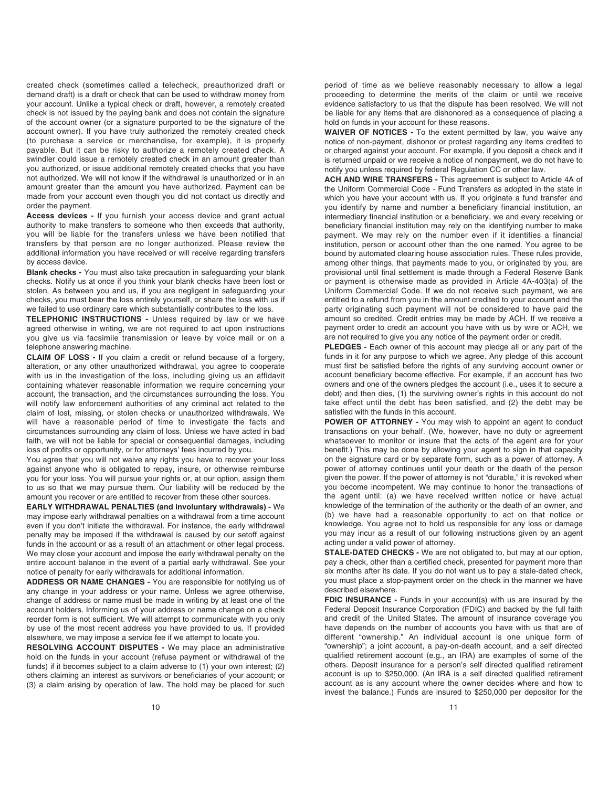created check (sometimes called a telecheck, preauthorized draft or demand draft) is a draft or check that can be used to withdraw money from your account. Unlike a typical check or draft, however, a remotely created check is not issued by the paying bank and does not contain the signature of the account owner (or a signature purported to be the signature of the account owner). If you have truly authorized the remotely created check (to purchase a service or merchandise, for example), it is properly payable. But it can be risky to authorize a remotely created check. A swindler could issue a remotely created check in an amount greater than you authorized, or issue additional remotely created checks that you have not authorized. We will not know if the withdrawal is unauthorized or in an amount greater than the amount you have authorized. Payment can be made from your account even though you did not contact us directly and order the payment.

**Access devices -** If you furnish your access device and grant actual authority to make transfers to someone who then exceeds that authority, you will be liable for the transfers unless we have been notified that transfers by that person are no longer authorized. Please review the additional information you have received or will receive regarding transfers by access device.

**Blank checks -** You must also take precaution in safeguarding your blank checks. Notify us at once if you think your blank checks have been lost or stolen. As between you and us, if you are negligent in safeguarding your checks, you must bear the loss entirely yourself, or share the loss with us if we failed to use ordinary care which substantially contributes to the loss.

**TELEPHONIC INSTRUCTIONS -** Unless required by law or we have agreed otherwise in writing, we are not required to act upon instructions you give us via facsimile transmission or leave by voice mail or on a telephone answering machine.

**CLAIM OF LOSS -** If you claim a credit or refund because of a forgery, alteration, or any other unauthorized withdrawal, you agree to cooperate with us in the investigation of the loss, including giving us an affidavit containing whatever reasonable information we require concerning your account, the transaction, and the circumstances surrounding the loss. You will notify law enforcement authorities of any criminal act related to the claim of lost, missing, or stolen checks or unauthorized withdrawals. We will have a reasonable period of time to investigate the facts and circumstances surrounding any claim of loss. Unless we have acted in bad faith, we will not be liable for special or consequential damages, including loss of profits or opportunity, or for attorneys' fees incurred by you.

You agree that you will not waive any rights you have to recover your loss against anyone who is obligated to repay, insure, or otherwise reimburse you for your loss. You will pursue your rights or, at our option, assign them to us so that we may pursue them. Our liability will be reduced by the amount you recover or are entitled to recover from these other sources.

**EARLY WITHDRAWAL PENALTIES (and involuntary withdrawals) -** We may impose early withdrawal penalties on a withdrawal from a time account even if you don't initiate the withdrawal. For instance, the early withdrawal penalty may be imposed if the withdrawal is caused by our setoff against funds in the account or as a result of an attachment or other legal process. We may close your account and impose the early withdrawal penalty on the entire account balance in the event of a partial early withdrawal. See your notice of penalty for early withdrawals for additional information.

**ADDRESS OR NAME CHANGES -** You are responsible for notifying us of any change in your address or your name. Unless we agree otherwise, change of address or name must be made in writing by at least one of the account holders. Informing us of your address or name change on a check reorder form is not sufficient. We will attempt to communicate with you only by use of the most recent address you have provided to us. If provided elsewhere, we may impose a service fee if we attempt to locate you.

**RESOLVING ACCOUNT DISPUTES -** We may place an administrative hold on the funds in your account (refuse payment or withdrawal of the funds) if it becomes subject to a claim adverse to (1) your own interest; (2) others claiming an interest as survivors or beneficiaries of your account; or (3) a claim arising by operation of law. The hold may be placed for such

period of time as we believe reasonably necessary to allow a legal proceeding to determine the merits of the claim or until we receive evidence satisfactory to us that the dispute has been resolved. We will not be liable for any items that are dishonored as a consequence of placing a hold on funds in your account for these reasons.

**WAIVER OF NOTICES -** To the extent permitted by law, you waive any notice of non-payment, dishonor or protest regarding any items credited to or charged against your account. For example, if you deposit a check and it is returned unpaid or we receive a notice of nonpayment, we do not have to notify you unless required by federal Regulation CC or other law.

**ACH AND WIRE TRANSFERS -** This agreement is subject to Article 4A of the Uniform Commercial Code - Fund Transfers as adopted in the state in which you have your account with us. If you originate a fund transfer and you identify by name and number a beneficiary financial institution, an intermediary financial institution or a beneficiary, we and every receiving or beneficiary financial institution may rely on the identifying number to make payment. We may rely on the number even if it identifies a financial institution, person or account other than the one named. You agree to be bound by automated clearing house association rules. These rules provide, among other things, that payments made to you, or originated by you, are provisional until final settlement is made through a Federal Reserve Bank or payment is otherwise made as provided in Article 4A-403(a) of the Uniform Commercial Code. If we do not receive such payment, we are entitled to a refund from you in the amount credited to your account and the party originating such payment will not be considered to have paid the amount so credited. Credit entries may be made by ACH. If we receive a payment order to credit an account you have with us by wire or ACH, we are not required to give you any notice of the payment order or credit.

**PLEDGES -** Each owner of this account may pledge all or any part of the funds in it for any purpose to which we agree. Any pledge of this account must first be satisfied before the rights of any surviving account owner or account beneficiary become effective. For example, if an account has two owners and one of the owners pledges the account (i.e., uses it to secure a debt) and then dies, (1) the surviving owner's rights in this account do not take effect until the debt has been satisfied, and (2) the debt may be satisfied with the funds in this account.

**POWER OF ATTORNEY -** You may wish to appoint an agent to conduct transactions on your behalf. (We, however, have no duty or agreement whatsoever to monitor or insure that the acts of the agent are for your benefit.) This may be done by allowing your agent to sign in that capacity on the signature card or by separate form, such as a power of attorney. A power of attorney continues until your death or the death of the person given the power. If the power of attorney is not "durable," it is revoked when you become incompetent. We may continue to honor the transactions of the agent until: (a) we have received written notice or have actual knowledge of the termination of the authority or the death of an owner, and (b) we have had a reasonable opportunity to act on that notice or knowledge. You agree not to hold us responsible for any loss or damage you may incur as a result of our following instructions given by an agent acting under a valid power of attorney.

**STALE-DATED CHECKS -** We are not obligated to, but may at our option, pay a check, other than a certified check, presented for payment more than six months after its date. If you do not want us to pay a stale-dated check, you must place a stop-payment order on the check in the manner we have described elsewhere.

**FDIC INSURANCE -** Funds in your account(s) with us are insured by the Federal Deposit Insurance Corporation (FDIC) and backed by the full faith and credit of the United States. The amount of insurance coverage you have depends on the number of accounts you have with us that are of different "ownership." An individual account is one unique form of "ownership"; a joint account, a pay-on-death account, and a self directed qualified retirement account (e.g., an IRA) are examples of some of the others. Deposit insurance for a person's self directed qualified retirement account is up to \$250,000. (An IRA is a self directed qualified retirement account as is any account where the owner decides where and how to invest the balance.) Funds are insured to \$250,000 per depositor for the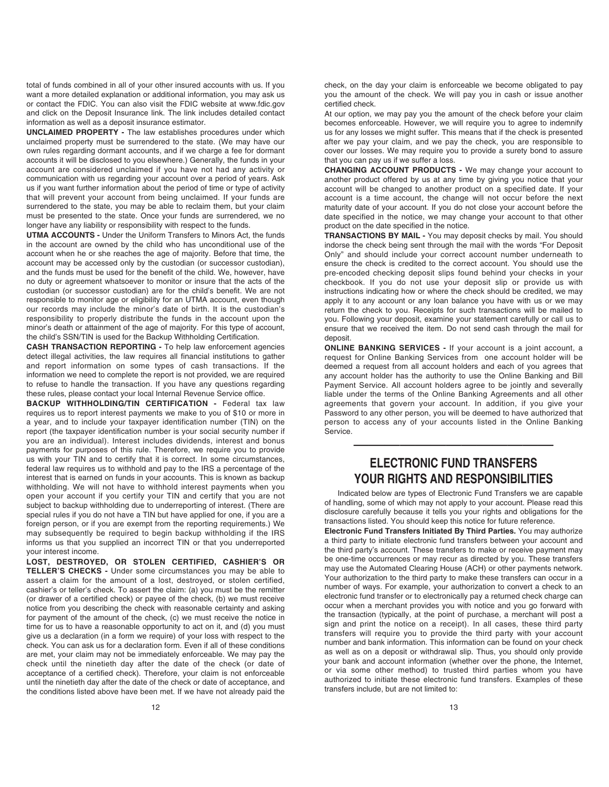total of funds combined in all of your other insured accounts with us. If you want a more detailed explanation or additional information, you may ask us or contact the FDIC. You can also visit the FDIC website at www.fdic.gov and click on the Deposit Insurance link. The link includes detailed contact information as well as a deposit insurance estimator.

**UNCLAIMED PROPERTY -** The law establishes procedures under which unclaimed property must be surrendered to the state. (We may have our own rules regarding dormant accounts, and if we charge a fee for dormant accounts it will be disclosed to you elsewhere.) Generally, the funds in your account are considered unclaimed if you have not had any activity or communication with us regarding your account over a period of years. Ask us if you want further information about the period of time or type of activity that will prevent your account from being unclaimed. If your funds are surrendered to the state, you may be able to reclaim them, but your claim must be presented to the state. Once your funds are surrendered, we no longer have any liability or responsibility with respect to the funds.

**UTMA ACCOUNTS -** Under the Uniform Transfers to Minors Act, the funds in the account are owned by the child who has unconditional use of the account when he or she reaches the age of majority. Before that time, the account may be accessed only by the custodian (or successor custodian), and the funds must be used for the benefit of the child. We, however, have no duty or agreement whatsoever to monitor or insure that the acts of the custodian (or successor custodian) are for the child's benefit. We are not responsible to monitor age or eligibility for an UTMA account, even though our records may include the minor's date of birth. It is the custodian's responsibility to properly distribute the funds in the account upon the minor's death or attainment of the age of majority. For this type of account, the child's SSN/TIN is used for the Backup Withholding Certification.

**CASH TRANSACTION REPORTING -** To help law enforcement agencies detect illegal activities, the law requires all financial institutions to gather and report information on some types of cash transactions. If the information we need to complete the report is not provided, we are required to refuse to handle the transaction. If you have any questions regarding these rules, please contact your local Internal Revenue Service office.

**BACKUP WITHHOLDING/TIN CERTIFICATION -** Federal tax law requires us to report interest payments we make to you of \$10 or more in a year, and to include your taxpayer identification number (TIN) on the report (the taxpayer identification number is your social security number if you are an individual). Interest includes dividends, interest and bonus payments for purposes of this rule. Therefore, we require you to provide us with your TIN and to certify that it is correct. In some circumstances, federal law requires us to withhold and pay to the IRS a percentage of the interest that is earned on funds in your accounts. This is known as backup withholding. We will not have to withhold interest payments when you open your account if you certify your TIN and certify that you are not subject to backup withholding due to underreporting of interest. (There are special rules if you do not have a TIN but have applied for one, if you are a foreign person, or if you are exempt from the reporting requirements.) We may subsequently be required to begin backup withholding if the IRS informs us that you supplied an incorrect TIN or that you underreported your interest income.

**LOST, DESTROYED, OR STOLEN CERTIFIED, CASHIER'S OR TELLER'S CHECKS -** Under some circumstances you may be able to assert a claim for the amount of a lost, destroyed, or stolen certified, cashier's or teller's check. To assert the claim: (a) you must be the remitter (or drawer of a certified check) or payee of the check, (b) we must receive notice from you describing the check with reasonable certainty and asking for payment of the amount of the check, (c) we must receive the notice in time for us to have a reasonable opportunity to act on it, and (d) you must give us a declaration (in a form we require) of your loss with respect to the check. You can ask us for a declaration form. Even if all of these conditions are met, your claim may not be immediately enforceable. We may pay the check until the ninetieth day after the date of the check (or date of acceptance of a certified check). Therefore, your claim is not enforceable until the ninetieth day after the date of the check or date of acceptance, and the conditions listed above have been met. If we have not already paid the

check, on the day your claim is enforceable we become obligated to pay you the amount of the check. We will pay you in cash or issue another certified check.

At our option, we may pay you the amount of the check before your claim becomes enforceable. However, we will require you to agree to indemnify us for any losses we might suffer. This means that if the check is presented after we pay your claim, and we pay the check, you are responsible to cover our losses. We may require you to provide a surety bond to assure that you can pay us if we suffer a loss.

**CHANGING ACCOUNT PRODUCTS -** We may change your account to another product offered by us at any time by giving you notice that your account will be changed to another product on a specified date. If your account is a time account, the change will not occur before the next maturity date of your account. If you do not close your account before the date specified in the notice, we may change your account to that other product on the date specified in the notice.

**TRANSACTIONS BY MAIL -** You may deposit checks by mail. You should indorse the check being sent through the mail with the words "For Deposit Only" and should include your correct account number underneath to ensure the check is credited to the correct account. You should use the pre-encoded checking deposit slips found behind your checks in your checkbook. If you do not use your deposit slip or provide us with instructions indicating how or where the check should be credited, we may apply it to any account or any loan balance you have with us or we may return the check to you. Receipts for such transactions will be mailed to you. Following your deposit, examine your statement carefully or call us to ensure that we received the item. Do not send cash through the mail for deposit.

**ONLINE BANKING SERVICES -** If your account is a joint account, a request for Online Banking Services from one account holder will be deemed a request from all account holders and each of you agrees that any account holder has the authority to use the Online Banking and Bill Payment Service. All account holders agree to be jointly and severally liable under the terms of the Online Banking Agreements and all other agreements that govern your account. In addition, if you give your Password to any other person, you will be deemed to have authorized that person to access any of your accounts listed in the Online Banking Service.

# **ELECTRONIC FUND TRANSFERS YOUR RIGHTS AND RESPONSIBILITIES**

—————————————

Indicated below are types of Electronic Fund Transfers we are capable of handling, some of which may not apply to your account. Please read this disclosure carefully because it tells you your rights and obligations for the transactions listed. You should keep this notice for future reference.

**Electronic Fund Transfers Initiated By Third Parties.** You may authorize a third party to initiate electronic fund transfers between your account and the third party's account. These transfers to make or receive payment may be one-time occurrences or may recur as directed by you. These transfers may use the Automated Clearing House (ACH) or other payments network. Your authorization to the third party to make these transfers can occur in a number of ways. For example, your authorization to convert a check to an electronic fund transfer or to electronically pay a returned check charge can occur when a merchant provides you with notice and you go forward with the transaction (typically, at the point of purchase, a merchant will post a sign and print the notice on a receipt). In all cases, these third party transfers will require you to provide the third party with your account number and bank information. This information can be found on your check as well as on a deposit or withdrawal slip. Thus, you should only provide your bank and account information (whether over the phone, the Internet, or via some other method) to trusted third parties whom you have authorized to initiate these electronic fund transfers. Examples of these transfers include, but are not limited to: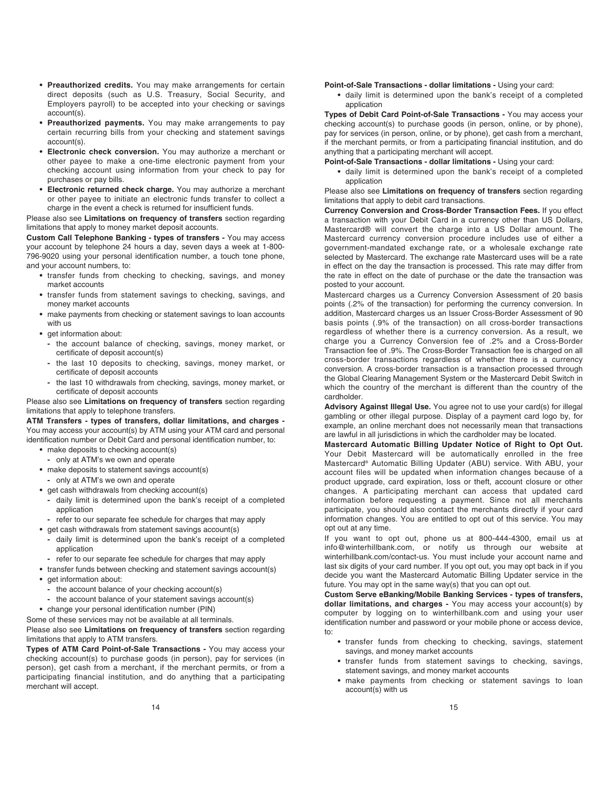- **Preauthorized credits.** You may make arrangements for certain direct deposits (such as U.S. Treasury, Social Security, and Employers payroll) to be accepted into your checking or savings account(s).
- **Preauthorized payments.** You may make arrangements to pay certain recurring bills from your checking and statement savings account(s).
- **Electronic check conversion.** You may authorize a merchant or other payee to make a one-time electronic payment from your checking account using information from your check to pay for purchases or pay bills.
- **Electronic returned check charge.** You may authorize a merchant or other payee to initiate an electronic funds transfer to collect a charge in the event a check is returned for insufficient funds.

Please also see **Limitations on frequency of transfers** section regarding limitations that apply to money market deposit accounts.

**Custom Call Telephone Banking - types of transfers -** You may access your account by telephone 24 hours a day, seven days a week at 1-800- 796-9020 using your personal identification number, a touch tone phone, and your account numbers, to:

- **•** transfer funds from checking to checking, savings, and money market accounts
- **•** transfer funds from statement savings to checking, savings, and money market accounts
- **•** make payments from checking or statement savings to loan accounts with us
- **•** get information about:
	- **-** the account balance of checking, savings, money market, or certificate of deposit account(s)
	- **-** the last 10 deposits to checking, savings, money market, or certificate of deposit accounts
	- **-** the last 10 withdrawals from checking, savings, money market, or certificate of deposit accounts

Please also see **Limitations on frequency of transfers** section regarding limitations that apply to telephone transfers.

**ATM Transfers - types of transfers, dollar limitations, and charges -** You may access your account(s) by ATM using your ATM card and personal identification number or Debit Card and personal identification number, to:

- **•** make deposits to checking account(s)
	- **-** only at ATM's we own and operate
- **•** make deposits to statement savings account(s)
	- **-** only at ATM's we own and operate
- **•** get cash withdrawals from checking account(s)
	- **-** daily limit is determined upon the bank's receipt of a completed application
	- **-** refer to our separate fee schedule for charges that may apply
- **•** get cash withdrawals from statement savings account(s)
	- **-** daily limit is determined upon the bank's receipt of a completed application
- **-** refer to our separate fee schedule for charges that may apply
- **•** transfer funds between checking and statement savings account(s)
- **•** get information about:
	- **-** the account balance of your checking account(s)
	- **-** the account balance of your statement savings account(s)
- **•** change your personal identification number (PIN)
- Some of these services may not be available at all terminals.

Please also see **Limitations on frequency of transfers** section regarding limitations that apply to ATM transfers.

**Types of ATM Card Point-of-Sale Transactions -** You may access your checking account(s) to purchase goods (in person), pay for services (in person), get cash from a merchant, if the merchant permits, or from a participating financial institution, and do anything that a participating merchant will accept.

#### **Point-of-Sale Transactions - dollar limitations -** Using your card:

**•** daily limit is determined upon the bank's receipt of a completed application

**Types of Debit Card Point-of-Sale Transactions -** You may access your checking account(s) to purchase goods (in person, online, or by phone), pay for services (in person, online, or by phone), get cash from a merchant, if the merchant permits, or from a participating financial institution, and do anything that a participating merchant will accept.

**Point-of-Sale Transactions - dollar limitations -** Using your card:

**•** daily limit is determined upon the bank's receipt of a completed application

Please also see **Limitations on frequency of transfers** section regarding limitations that apply to debit card transactions.

**Currency Conversion and Cross-Border Transaction Fees.** If you effect a transaction with your Debit Card in a currency other than US Dollars, Mastercard® will convert the charge into a US Dollar amount. The Mastercard currency conversion procedure includes use of either a government-mandated exchange rate, or a wholesale exchange rate selected by Mastercard. The exchange rate Mastercard uses will be a rate in effect on the day the transaction is processed. This rate may differ from the rate in effect on the date of purchase or the date the transaction was posted to your account.

Mastercard charges us a Currency Conversion Assessment of 20 basis points (.2% of the transaction) for performing the currency conversion. In addition, Mastercard charges us an Issuer Cross-Border Assessment of 90 basis points (.9% of the transaction) on all cross-border transactions regardless of whether there is a currency conversion. As a result, we charge you a Currency Conversion fee of .2% and a Cross-Border Transaction fee of .9%. The Cross-Border Transaction fee is charged on all cross-border transactions regardless of whether there is a currency conversion. A cross-border transaction is a transaction processed through the Global Clearing Management System or the Mastercard Debit Switch in which the country of the merchant is different than the country of the cardholder.

**Advisory Against Illegal Use.** You agree not to use your card(s) for illegal gambling or other illegal purpose. Display of a payment card logo by, for example, an online merchant does not necessarily mean that transactions are lawful in all jurisdictions in which the cardholder may be located.

**Mastercard Automatic Billing Updater Notice of Right to Opt Out.**  Your Debit Mastercard will be automatically enrolled in the free Mastercard® Automatic Billing Updater (ABU) service. With ABU, your account files will be updated when information changes because of a product upgrade, card expiration, loss or theft, account closure or other changes. A participating merchant can access that updated card information before requesting a payment. Since not all merchants participate, you should also contact the merchants directly if your card information changes. You are entitled to opt out of this service. You may opt out at any time.

If you want to opt out, phone us at 800-444-4300, email us at info@winterhillbank.com, or notify us through our website at winterhillbank.com/contact-us. You must include your account name and last six digits of your card number. If you opt out, you may opt back in if you decide you want the Mastercard Automatic Billing Updater service in the future. You may opt in the same way(s) that you can opt out.

**Custom Serve eBanking/Mobile Banking Services - types of transfers, dollar limitations, and charges -** You may access your account(s) by computer by logging on to winterhillbank.com and using your user identification number and password or your mobile phone or access device, to:

- **•** transfer funds from checking to checking, savings, statement savings, and money market accounts
- **•** transfer funds from statement savings to checking, savings, statement savings, and money market accounts
- **•** make payments from checking or statement savings to loan account(s) with us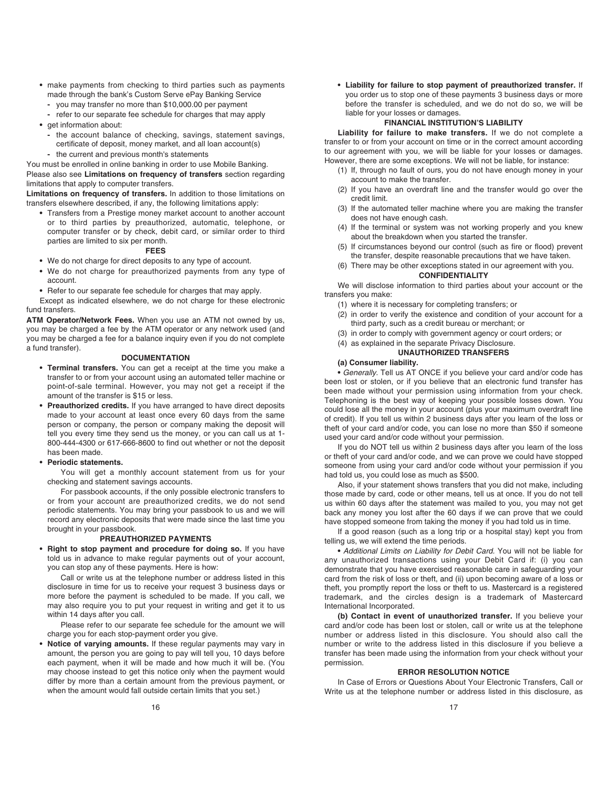- **•** make payments from checking to third parties such as payments made through the bank's Custom Serve ePay Banking Service
	- **-** you may transfer no more than \$10,000.00 per payment
	- **-** refer to our separate fee schedule for charges that may apply
- **•** get information about:
	- **-** the account balance of checking, savings, statement savings, certificate of deposit, money market, and all loan account(s)
- **-** the current and previous month's statements

You must be enrolled in online banking in order to use Mobile Banking.

Please also see **Limitations on frequency of transfers** section regarding limitations that apply to computer transfers.

**Limitations on frequency of transfers.** In addition to those limitations on transfers elsewhere described, if any, the following limitations apply:

**•** Transfers from a Prestige money market account to another account or to third parties by preauthorized, automatic, telephone, or computer transfer or by check, debit card, or similar order to third parties are limited to six per month.

#### **FEES**

- **•** We do not charge for direct deposits to any type of account.
- **•** We do not charge for preauthorized payments from any type of account.
- **•** Refer to our separate fee schedule for charges that may apply.
- Except as indicated elsewhere, we do not charge for these electronic fund transfers.

**ATM Operator/Network Fees.** When you use an ATM not owned by us, you may be charged a fee by the ATM operator or any network used (and you may be charged a fee for a balance inquiry even if you do not complete a fund transfer).

#### **DOCUMENTATION**

- **Terminal transfers.** You can get a receipt at the time you make a transfer to or from your account using an automated teller machine or point-of-sale terminal. However, you may not get a receipt if the amount of the transfer is \$15 or less.
- **Preauthorized credits.** If you have arranged to have direct deposits made to your account at least once every 60 days from the same person or company, the person or company making the deposit will tell you every time they send us the money, or you can call us at 1- 800-444-4300 or 617-666-8600 to find out whether or not the deposit has been made.
- **Periodic statements.**

You will get a monthly account statement from us for your checking and statement savings accounts.

For passbook accounts, if the only possible electronic transfers to or from your account are preauthorized credits, we do not send periodic statements. You may bring your passbook to us and we will record any electronic deposits that were made since the last time you brought in your passbook.

#### **PREAUTHORIZED PAYMENTS**

**• Right to stop payment and procedure for doing so.** If you have told us in advance to make regular payments out of your account, you can stop any of these payments. Here is how:

Call or write us at the telephone number or address listed in this disclosure in time for us to receive your request 3 business days or more before the payment is scheduled to be made. If you call, we may also require you to put your request in writing and get it to us within 14 days after you call.

Please refer to our separate fee schedule for the amount we will charge you for each stop-payment order you give.

**• Notice of varying amounts.** If these regular payments may vary in amount, the person you are going to pay will tell you, 10 days before each payment, when it will be made and how much it will be. (You may choose instead to get this notice only when the payment would differ by more than a certain amount from the previous payment, or when the amount would fall outside certain limits that you set.)

**• Liability for failure to stop payment of preauthorized transfer.** If you order us to stop one of these payments 3 business days or more before the transfer is scheduled, and we do not do so, we will be liable for your losses or damages.

#### **FINANCIAL INSTITUTION'S LIABILITY**

**Liability for failure to make transfers.** If we do not complete a transfer to or from your account on time or in the correct amount according to our agreement with you, we will be liable for your losses or damages. However, there are some exceptions. We will not be liable, for instance:

- (1) If, through no fault of ours, you do not have enough money in your account to make the transfer.
- (2) If you have an overdraft line and the transfer would go over the credit limit.
- (3) If the automated teller machine where you are making the transfer does not have enough cash.
- (4) If the terminal or system was not working properly and you knew about the breakdown when you started the transfer.
- (5) If circumstances beyond our control (such as fire or flood) prevent the transfer, despite reasonable precautions that we have taken.
- (6) There may be other exceptions stated in our agreement with you.

#### **CONFIDENTIALITY**

We will disclose information to third parties about your account or the transfers you make:

(1) where it is necessary for completing transfers; or

- (2) in order to verify the existence and condition of your account for a third party, such as a credit bureau or merchant; or
- (3) in order to comply with government agency or court orders; or
- (4) as explained in the separate Privacy Disclosure.

### **UNAUTHORIZED TRANSFERS**

#### **(a) Consumer liability.**

**•** Generally. Tell us AT ONCE if you believe your card and/or code has been lost or stolen, or if you believe that an electronic fund transfer has been made without your permission using information from your check. Telephoning is the best way of keeping your possible losses down. You could lose all the money in your account (plus your maximum overdraft line of credit). If you tell us within 2 business days after you learn of the loss or theft of your card and/or code, you can lose no more than \$50 if someone used your card and/or code without your permission.

If you do NOT tell us within 2 business days after you learn of the loss or theft of your card and/or code, and we can prove we could have stopped someone from using your card and/or code without your permission if you had told us, you could lose as much as \$500.

Also, if your statement shows transfers that you did not make, including those made by card, code or other means, tell us at once. If you do not tell us within 60 days after the statement was mailed to you, you may not get back any money you lost after the 60 days if we can prove that we could have stopped someone from taking the money if you had told us in time.

If a good reason (such as a long trip or a hospital stay) kept you from telling us, we will extend the time periods.

**•** Additional Limits on Liability for Debit Card. You will not be liable for any unauthorized transactions using your Debit Card if: (i) you can demonstrate that you have exercised reasonable care in safeguarding your card from the risk of loss or theft, and (ii) upon becoming aware of a loss or theft, you promptly report the loss or theft to us. Mastercard is a registered trademark, and the circles design is a trademark of Mastercard International Incorporated.

**(b) Contact in event of unauthorized transfer.** If you believe your card and/or code has been lost or stolen, call or write us at the telephone number or address listed in this disclosure. You should also call the number or write to the address listed in this disclosure if you believe a transfer has been made using the information from your check without your permission.

#### **ERROR RESOLUTION NOTICE**

In Case of Errors or Questions About Your Electronic Transfers, Call or Write us at the telephone number or address listed in this disclosure, as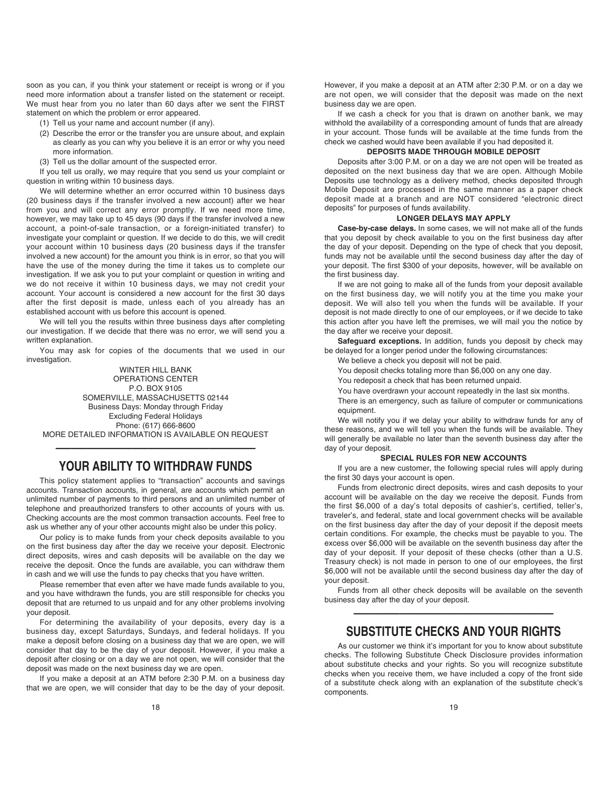soon as you can, if you think your statement or receipt is wrong or if you need more information about a transfer listed on the statement or receipt. We must hear from you no later than 60 days after we sent the FIRST statement on which the problem or error appeared.

(1) Tell us your name and account number (if any).

- (2) Describe the error or the transfer you are unsure about, and explain as clearly as you can why you believe it is an error or why you need more information.
- (3) Tell us the dollar amount of the suspected error.

If you tell us orally, we may require that you send us your complaint or question in writing within 10 business days.

We will determine whether an error occurred within 10 business days (20 business days if the transfer involved a new account) after we hear from you and will correct any error promptly. If we need more time, however, we may take up to 45 days (90 days if the transfer involved a new account, a point-of-sale transaction, or a foreign-initiated transfer) to investigate your complaint or question. If we decide to do this, we will credit your account within 10 business days (20 business days if the transfer involved a new account) for the amount you think is in error, so that you will have the use of the money during the time it takes us to complete our investigation. If we ask you to put your complaint or question in writing and we do not receive it within 10 business days, we may not credit your account. Your account is considered a new account for the first 30 days after the first deposit is made, unless each of you already has an established account with us before this account is opened.

We will tell you the results within three business days after completing our investigation. If we decide that there was no error, we will send you a written explanation.

You may ask for copies of the documents that we used in our investigation.

WINTER HILL BANK OPERATIONS CENTER P.O. BOX 9105 SOMERVILLE, MASSACHUSETTS 02144 Business Days: Monday through Friday Excluding Federal Holidays Phone: (617) 666-8600 MORE DETAILED INFORMATION IS AVAILABLE ON REQUEST

# ————————————— **YOUR ABILITY TO WITHDRAW FUNDS**

This policy statement applies to "transaction" accounts and savings accounts. Transaction accounts, in general, are accounts which permit an unlimited number of payments to third persons and an unlimited number of telephone and preauthorized transfers to other accounts of yours with us. Checking accounts are the most common transaction accounts. Feel free to ask us whether any of your other accounts might also be under this policy.

Our policy is to make funds from your check deposits available to you on the first business day after the day we receive your deposit. Electronic direct deposits, wires and cash deposits will be available on the day we receive the deposit. Once the funds are available, you can withdraw them in cash and we will use the funds to pay checks that you have written.

Please remember that even after we have made funds available to you, and you have withdrawn the funds, you are still responsible for checks you deposit that are returned to us unpaid and for any other problems involving your deposit.

For determining the availability of your deposits, every day is a business day, except Saturdays, Sundays, and federal holidays. If you make a deposit before closing on a business day that we are open, we will consider that day to be the day of your deposit. However, if you make a deposit after closing or on a day we are not open, we will consider that the deposit was made on the next business day we are open.

If you make a deposit at an ATM before 2:30 P.M. on a business day that we are open, we will consider that day to be the day of your deposit.

If we cash a check for you that is drawn on another bank, we may withhold the availability of a corresponding amount of funds that are already in your account. Those funds will be available at the time funds from the check we cashed would have been available if you had deposited it.

#### **DEPOSITS MADE THROUGH MOBILE DEPOSIT**

Deposits after 3:00 P.M. or on a day we are not open will be treated as deposited on the next business day that we are open. Although Mobile Deposits use technology as a delivery method, checks deposited through Mobile Deposit are processed in the same manner as a paper check deposit made at a branch and are NOT considered "electronic direct deposits" for purposes of funds availability.

#### **LONGER DELAYS MAY APPLY**

**Case-by-case delays.** In some cases, we will not make all of the funds that you deposit by check available to you on the first business day after the day of your deposit. Depending on the type of check that you deposit, funds may not be available until the second business day after the day of your deposit. The first \$300 of your deposits, however, will be available on the first business day.

If we are not going to make all of the funds from your deposit available on the first business day, we will notify you at the time you make your deposit. We will also tell you when the funds will be available. If your deposit is not made directly to one of our employees, or if we decide to take this action after you have left the premises, we will mail you the notice by the day after we receive your deposit.

Safequard exceptions. In addition, funds you deposit by check may be delayed for a longer period under the following circumstances:

- We believe a check you deposit will not be paid.
- You deposit checks totaling more than \$6,000 on any one day.
- You redeposit a check that has been returned unpaid.
- You have overdrawn your account repeatedly in the last six months.

There is an emergency, such as failure of computer or communications equipment.

We will notify you if we delay your ability to withdraw funds for any of these reasons, and we will tell you when the funds will be available. They will generally be available no later than the seventh business day after the day of your deposit.

#### **SPECIAL RULES FOR NEW ACCOUNTS**

If you are a new customer, the following special rules will apply during the first 30 days your account is open.

Funds from electronic direct deposits, wires and cash deposits to your account will be available on the day we receive the deposit. Funds from the first \$6,000 of a day's total deposits of cashier's, certified, teller's, traveler's, and federal, state and local government checks will be available on the first business day after the day of your deposit if the deposit meets certain conditions. For example, the checks must be payable to you. The excess over \$6,000 will be available on the seventh business day after the day of your deposit. If your deposit of these checks (other than a U.S. Treasury check) is not made in person to one of our employees, the first \$6,000 will not be available until the second business day after the day of your deposit.

Funds from all other check deposits will be available on the seventh business day after the day of your deposit.

# ————————————— **SUBSTITUTE CHECKS AND YOUR RIGHTS**

As our customer we think it's important for you to know about substitute checks. The following Substitute Check Disclosure provides information about substitute checks and your rights. So you will recognize substitute checks when you receive them, we have included a copy of the front side of a substitute check along with an explanation of the substitute check's components.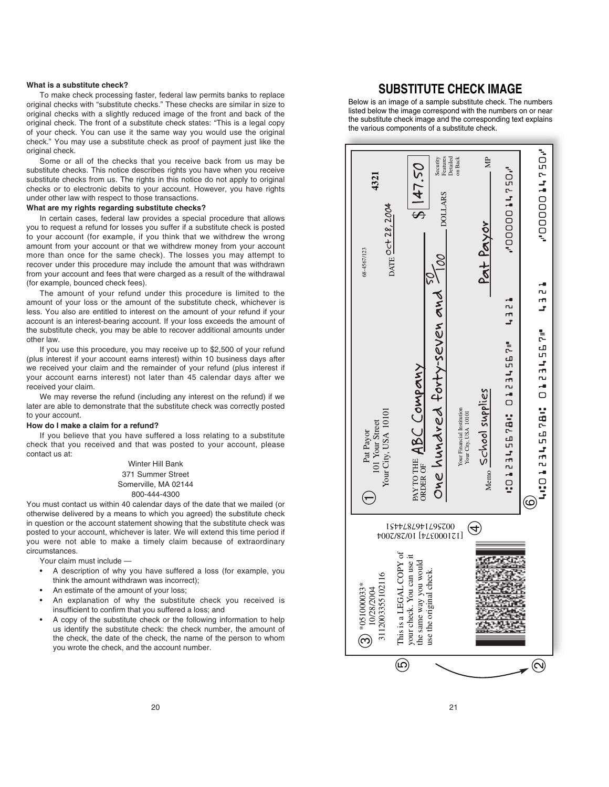#### **What is a substitute check?**

To make check processing faster, federal law permits banks to replace original checks with "substitute checks." These checks are similar in size to original checks with a slightly reduced image of the front and back of the original check. The front of a substitute check states: "This is a legal copy of your check. You can use it the same way you would use the original check." You may use a substitute check as proof of payment just like the original check.

Some or all of the checks that you receive back from us may be substitute checks. This notice describes rights you have when you receive substitute checks from us. The rights in this notice do not apply to original checks or to electronic debits to your account. However, you have rights under other law with respect to those transactions.

#### **What are my rights regarding substitute checks?**

In certain cases, federal law provides a special procedure that allows you to request a refund for losses you suffer if a substitute check is posted to your account (for example, if you think that we withdrew the wrong amount from your account or that we withdrew money from your account more than once for the same check). The losses you may attempt to recover under this procedure may include the amount that was withdrawn from your account and fees that were charged as a result of the withdrawal (for example, bounced check fees).

The amount of your refund under this procedure is limited to the amount of your loss or the amount of the substitute check, whichever is less. You also are entitled to interest on the amount of your refund if your account is an interest-bearing account. If your loss exceeds the amount of the substitute check, you may be able to recover additional amounts under other law.

If you use this procedure, you may receive up to \$2,500 of your refund (plus interest if your account earns interest) within 10 business days after we received your claim and the remainder of your refund (plus interest if your account earns interest) not later than 45 calendar days after we received your claim.

We may reverse the refund (including any interest on the refund) if we later are able to demonstrate that the substitute check was correctly posted to your account.

#### **How do I make a claim for a refund?**

If you believe that you have suffered a loss relating to a substitute check that you received and that was posted to your account, please contact us at:

> Winter Hill Bank 371 Summer Street Somerville, MA 02144 800-444-4300

You must contact us within 40 calendar days of the date that we mailed (or otherwise delivered by a means to which you agreed) the substitute check in question or the account statement showing that the substitute check was posted to your account, whichever is later. We will extend this time period if you were not able to make a timely claim because of extraordinary circumstances.

Your claim must include —

- A description of why you have suffered a loss (for example, you think the amount withdrawn was incorrect);
- An estimate of the amount of your loss;
- An explanation of why the substitute check you received is insufficient to confirm that you suffered a loss; and
- A copy of the substitute check or the following information to help us identify the substitute check: the check number, the amount of the check, the date of the check, the name of the person to whom you wrote the check, and the account number.

## **SUBSTITUTE CHECK IMAGE**

Below is an image of a sample substitute check. The numbers listed below the image correspond with the numbers on or near the substitute check image and the corresponding text explains the various components of a substitute check.

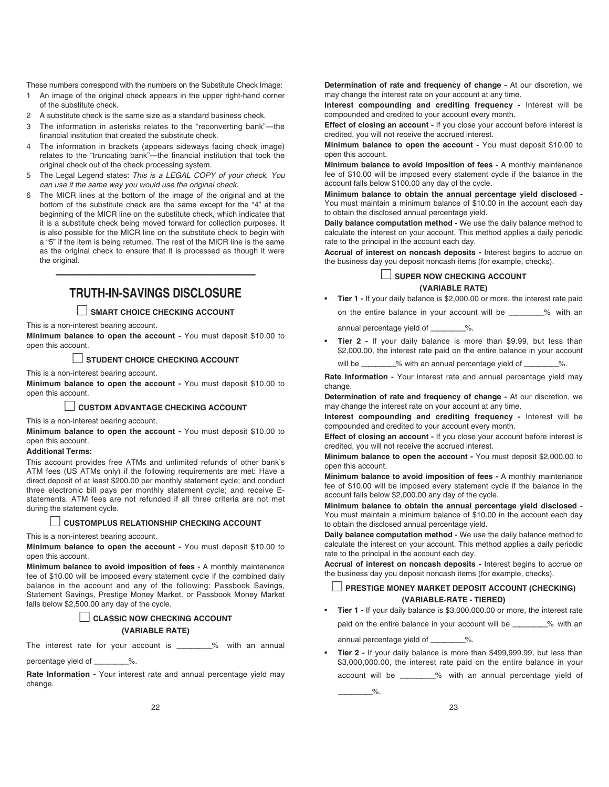These numbers correspond with the numbers on the Substitute Check Image:

- 1 An image of the original check appears in the upper right-hand corner of the substitute check.
- 2 A substitute check is the same size as a standard business check.
- 3 The information in asterisks relates to the "reconverting bank"—the financial institution that created the substitute check.
- 4 The information in brackets (appears sideways facing check image) relates to the "truncating bank"—the financial institution that took the original check out of the check processing system.
- 5 The Legal Legend states: This is a LEGAL COPY of your check. You can use it the same way you would use the original check.
- 6 The MICR lines at the bottom of the image of the original and at the bottom of the substitute check are the same except for the "4" at the beginning of the MICR line on the substitute check, which indicates that it is a substitute check being moved forward for collection purposes. It is also possible for the MICR line on the substitute check to begin with a "5" if the item is being returned. The rest of the MICR line is the same as the original check to ensure that it is processed as though it were the original.

# ————————————— **TRUTH-IN-SAVINGS DISCLOSURE**

### □ **SMART CHOICE CHECKING ACCOUNT**

This is a non-interest bearing account.

**Minimum balance to open the account -** You must deposit \$10.00 to open this account.

#### □ **STUDENT CHOICE CHECKING ACCOUNT**

This is a non-interest bearing account.

**Minimum balance to open the account -** You must deposit \$10.00 to open this account.

#### □ **CUSTOM ADVANTAGE CHECKING ACCOUNT**

This is a non-interest bearing account.

**Minimum balance to open the account -** You must deposit \$10.00 to open this account.

#### **Additional Terms:**

This account provides free ATMs and unlimited refunds of other bank's ATM fees (US ATMs only) if the following requirements are met: Have a direct deposit of at least \$200.00 per monthly statement cycle; and conduct three electronic bill pays per monthly statement cycle; and receive Estatements. ATM fees are not refunded if all three criteria are not met during the statement cycle.

#### □ **CUSTOMPLUS RELATIONSHIP CHECKING ACCOUNT**

This is a non-interest bearing account.

**Minimum balance to open the account -** You must deposit \$10.00 to open this account.

**Minimum balance to avoid imposition of fees -** A monthly maintenance fee of \$10.00 will be imposed every statement cycle if the combined daily balance in the account and any of the following: Passbook Savings, Statement Savings, Prestige Money Market, or Passbook Money Market falls below \$2,500.00 any day of the cycle.

#### □ **CLASSIC NOW CHECKING ACCOUNT (VARIABLE RATE)**

The interest rate for your account is \_\_\_\_\_\_\_% with an annual

percentage yield of \_\_\_\_\_\_\_%.

**Rate Information -** Your interest rate and annual percentage yield may change.

**Determination of rate and frequency of change -** At our discretion, we may change the interest rate on your account at any time.

**Interest compounding and crediting frequency -** Interest will be compounded and credited to your account every month.

**Effect of closing an account -** If you close your account before interest is credited, you will not receive the accrued interest.

**Minimum balance to open the account -** You must deposit \$10.00 to open this account.

**Minimum balance to avoid imposition of fees -** A monthly maintenance fee of \$10.00 will be imposed every statement cycle if the balance in the account falls below \$100.00 any day of the cycle.

**Minimum balance to obtain the annual percentage yield disclosed -** You must maintain a minimum balance of \$10.00 in the account each day to obtain the disclosed annual percentage yield.

**Daily balance computation method -** We use the daily balance method to calculate the interest on your account. This method applies a daily periodic rate to the principal in the account each day.

**Accrual of interest on noncash deposits -** Interest begins to accrue on the business day you deposit noncash items (for example, checks).

## □ **SUPER NOW CHECKING ACCOUNT**

### **(VARIABLE RATE)**

• **Tier 1 -** If your daily balance is \$2,000.00 or more, the interest rate paid on the entire balance in your account will be \_\_\_\_\_\_\_% with an

annual percentage yield of —————%.

**Tier 2 - If your daily balance is more than \$9.99, but less than** \$2,000.00, the interest rate paid on the entire balance in your account

will be \_\_\_\_\_\_\_% with an annual percentage yield of \_\_\_\_\_\_\_\_%.

**Rate Information -** Your interest rate and annual percentage yield may change.

**Determination of rate and frequency of change -** At our discretion, we may change the interest rate on your account at any time.

**Interest compounding and crediting frequency -** Interest will be compounded and credited to your account every month.

**Effect of closing an account -** If you close your account before interest is credited, you will not receive the accrued interest.

**Minimum balance to open the account -** You must deposit \$2,000.00 to open this account.

**Minimum balance to avoid imposition of fees -** A monthly maintenance fee of \$10.00 will be imposed every statement cycle if the balance in the account falls below \$2,000.00 any day of the cycle.

**Minimum balance to obtain the annual percentage yield disclosed -** You must maintain a minimum balance of \$10.00 in the account each day to obtain the disclosed annual percentage yield.

**Daily balance computation method -** We use the daily balance method to calculate the interest on your account. This method applies a daily periodic rate to the principal in the account each day.

**Accrual of interest on noncash deposits -** Interest begins to accrue on the business day you deposit noncash items (for example, checks).

### **PRESTIGE MONEY MARKET DEPOSIT ACCOUNT (CHECKING) (VARIABLE-RATE - TIERED)**

• **Tier 1 -** If your daily balance is \$3,000,000.00 or more, the interest rate paid on the entire balance in your account will be \_\_\_\_\_\_\_% with an

annual percentage yield of \_\_\_\_\_\_\_\_%.

 $\%$ .

• **Tier 2 -** If your daily balance is more than \$499,999.99, but less than \$3,000,000.00, the interest rate paid on the entire balance in your account will be \_\_\_\_\_\_\_% with an annual percentage yield of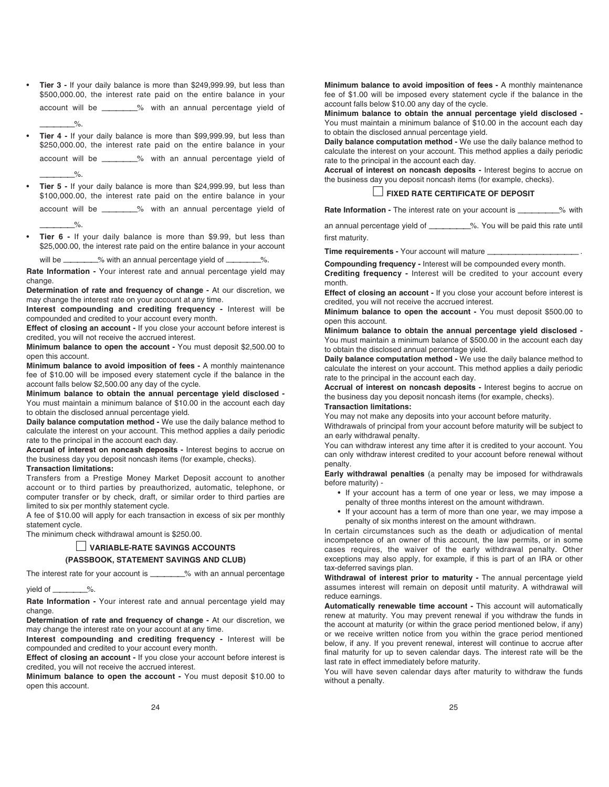- **Tier 3** If your daily balance is more than \$249,999.99, but less than \$500,000.00, the interest rate paid on the entire balance in your account will be —————% with an annual percentage yield of
- **Tier 4** If your daily balance is more than \$99,999.99, but less than \$250,000.00, the interest rate paid on the entire balance in your account will be —————% with an annual percentage yield of

• **Tier 5 -** If your daily balance is more than \$24,999.99, but less than \$100,000.00, the interest rate paid on the entire balance in your

account will be —————% with an annual percentage yield of  $\circ$ 

• **Tier 6 -** If your daily balance is more than \$9.99, but less than \$25,000.00, the interest rate paid on the entire balance in your account

will be \_\_\_\_\_\_\_% with an annual percentage yield of \_\_\_

**Rate Information -** Your interest rate and annual percentage yield may change.

**Determination of rate and frequency of change -** At our discretion, we may change the interest rate on your account at any time.

**Interest compounding and crediting frequency -** Interest will be compounded and credited to your account every month.

**Effect of closing an account -** If you close your account before interest is credited, you will not receive the accrued interest.

**Minimum balance to open the account -** You must deposit \$2,500.00 to open this account.

**Minimum balance to avoid imposition of fees -** A monthly maintenance fee of \$10.00 will be imposed every statement cycle if the balance in the account falls below \$2,500.00 any day of the cycle.

**Minimum balance to obtain the annual percentage yield disclosed -** You must maintain a minimum balance of \$10.00 in the account each day to obtain the disclosed annual percentage yield.

**Daily balance computation method -** We use the daily balance method to calculate the interest on your account. This method applies a daily periodic rate to the principal in the account each day.

**Accrual of interest on noncash deposits -** Interest begins to accrue on the business day you deposit noncash items (for example, checks).

#### **Transaction limitations:**

 $\%$ .

 $\%$ .

Transfers from a Prestige Money Market Deposit account to another account or to third parties by preauthorized, automatic, telephone, or computer transfer or by check, draft, or similar order to third parties are limited to six per monthly statement cycle.

A fee of \$10.00 will apply for each transaction in excess of six per monthly statement cycle.

The minimum check withdrawal amount is \$250.00.

#### □ **VARIABLE-RATE SAVINGS ACCOUNTS**

#### **(PASSBOOK, STATEMENT SAVINGS AND CLUB)**

The interest rate for your account is \_\_\_\_\_\_\_\_% with an annual percentage

#### yield of \_\_\_\_\_\_\_\_%.

**Rate Information -** Your interest rate and annual percentage yield may change.

**Determination of rate and frequency of change -** At our discretion, we may change the interest rate on your account at any time.

**Interest compounding and crediting frequency -** Interest will be compounded and credited to your account every month.

**Effect of closing an account - If you close your account before interest is** credited, you will not receive the accrued interest.

**Minimum balance to open the account -** You must deposit \$10.00 to open this account.

**Minimum balance to avoid imposition of fees -** A monthly maintenance fee of \$1.00 will be imposed every statement cycle if the balance in the account falls below \$10.00 any day of the cycle.

**Minimum balance to obtain the annual percentage yield disclosed -** You must maintain a minimum balance of \$10.00 in the account each day to obtain the disclosed annual percentage yield.

**Daily balance computation method -** We use the daily balance method to calculate the interest on your account. This method applies a daily periodic rate to the principal in the account each day.

**Accrual of interest on noncash deposits -** Interest begins to accrue on the business day you deposit noncash items (for example, checks).

#### □ **FIXED RATE CERTIFICATE OF DEPOSIT**

**Rate Information -** The interest rate on your account is \_\_\_\_\_\_\_\_\_% with

an annual percentage yield of \_\_\_\_\_\_\_\_\_%. You will be paid this rate until first maturity.

**Time requirements - Your account will mature \_** 

**Compounding frequency -** Interest will be compounded every month.

**Crediting frequency -** Interest will be credited to your account every month.

**Effect of closing an account -** If you close your account before interest is credited, you will not receive the accrued interest.

**Minimum balance to open the account -** You must deposit \$500.00 to open this account.

**Minimum balance to obtain the annual percentage yield disclosed -** You must maintain a minimum balance of \$500.00 in the account each day to obtain the disclosed annual percentage yield.

**Daily balance computation method -** We use the daily balance method to calculate the interest on your account. This method applies a daily periodic rate to the principal in the account each day.

**Accrual of interest on noncash deposits -** Interest begins to accrue on the business day you deposit noncash items (for example, checks). **Transaction limitations:**

You may not make any deposits into your account before maturity.

Withdrawals of principal from your account before maturity will be subject to an early withdrawal penalty.

You can withdraw interest any time after it is credited to your account. You can only withdraw interest credited to your account before renewal without penalty.

**Early withdrawal penalties** (a penalty may be imposed for withdrawals before maturity) -

- If your account has a term of one year or less, we may impose a penalty of three months interest on the amount withdrawn.
- If your account has a term of more than one year, we may impose a penalty of six months interest on the amount withdrawn.

In certain circumstances such as the death or adjudication of mental incompetence of an owner of this account, the law permits, or in some cases requires, the waiver of the early withdrawal penalty. Other exceptions may also apply, for example, if this is part of an IRA or other tax-deferred savings plan.

**Withdrawal of interest prior to maturity -** The annual percentage yield assumes interest will remain on deposit until maturity. A withdrawal will reduce earnings.

**Automatically renewable time account -** This account will automatically renew at maturity. You may prevent renewal if you withdraw the funds in the account at maturity (or within the grace period mentioned below, if any) or we receive written notice from you within the grace period mentioned below, if any. If you prevent renewal, interest will continue to accrue after final maturity for up to seven calendar days. The interest rate will be the last rate in effect immediately before maturity.

You will have seven calendar days after maturity to withdraw the funds without a penalty.